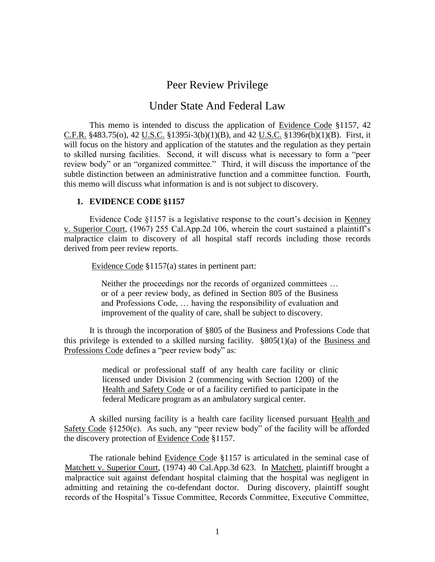# Peer Review Privilege

# Under State And Federal Law

This memo is intended to discuss the application of Evidence Code §1157, 42 C.F.R. §483.75(o), 42 U.S.C. §1395i-3(b)(1)(B), and 42 U.S.C. §1396r(b)(1)(B). First, it will focus on the history and application of the statutes and the regulation as they pertain to skilled nursing facilities. Second, it will discuss what is necessary to form a "peer review body" or an "organized committee." Third, it will discuss the importance of the subtle distinction between an administrative function and a committee function. Fourth, this memo will discuss what information is and is not subject to discovery.

#### **1. EVIDENCE CODE §1157**

Evidence Code §1157 is a legislative response to the court's decision in Kenney v. Superior Court, (1967) 255 Cal.App.2d 106, wherein the court sustained a plaintiff's malpractice claim to discovery of all hospital staff records including those records derived from peer review reports.

Evidence Code §1157(a) states in pertinent part:

Neither the proceedings nor the records of organized committees … or of a peer review body, as defined in Section 805 of the Business and Professions Code, … having the responsibility of evaluation and improvement of the quality of care, shall be subject to discovery.

It is through the incorporation of §805 of the Business and Professions Code that this privilege is extended to a skilled nursing facility.  $\frac{8805(1)}{a}$  of the Business and Professions Code defines a "peer review body" as:

> medical or professional staff of any health care facility or clinic licensed under Division 2 (commencing with Section 1200) of the Health and Safety Code or of a facility certified to participate in the federal Medicare program as an ambulatory surgical center.

A skilled nursing facility is a health care facility licensed pursuant Health and Safety Code §1250(c). As such, any "peer review body" of the facility will be afforded the discovery protection of Evidence Code §1157.

The rationale behind Evidence Code §1157 is articulated in the seminal case of Matchett v. Superior Court, (1974) 40 Cal.App.3d 623. In Matchett, plaintiff brought a malpractice suit against defendant hospital claiming that the hospital was negligent in admitting and retaining the co-defendant doctor. During discovery, plaintiff sought records of the Hospital's Tissue Committee, Records Committee, Executive Committee,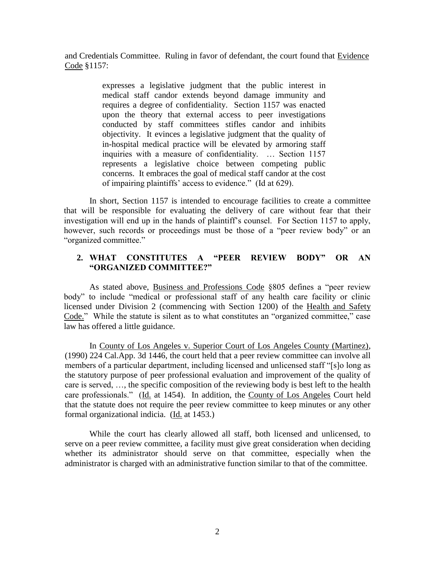and Credentials Committee. Ruling in favor of defendant, the court found that Evidence Code §1157:

> expresses a legislative judgment that the public interest in medical staff candor extends beyond damage immunity and requires a degree of confidentiality. Section 1157 was enacted upon the theory that external access to peer investigations conducted by staff committees stifles candor and inhibits objectivity. It evinces a legislative judgment that the quality of in-hospital medical practice will be elevated by armoring staff inquiries with a measure of confidentiality. … Section 1157 represents a legislative choice between competing public concerns. It embraces the goal of medical staff candor at the cost of impairing plaintiffs' access to evidence." (Id at 629).

In short, Section 1157 is intended to encourage facilities to create a committee that will be responsible for evaluating the delivery of care without fear that their investigation will end up in the hands of plaintiff's counsel. For Section 1157 to apply, however, such records or proceedings must be those of a "peer review body" or an "organized committee."

# **2. WHAT CONSTITUTES A "PEER REVIEW BODY" OR AN "ORGANIZED COMMITTEE?"**

As stated above, Business and Professions Code §805 defines a "peer review body" to include "medical or professional staff of any health care facility or clinic licensed under Division 2 (commencing with Section 1200) of the Health and Safety Code." While the statute is silent as to what constitutes an "organized committee," case law has offered a little guidance.

In County of Los Angeles v. Superior Court of Los Angeles County (Martinez), (1990) 224 Cal.App. 3d 1446, the court held that a peer review committee can involve all members of a particular department, including licensed and unlicensed staff "[s]o long as the statutory purpose of peer professional evaluation and improvement of the quality of care is served, …, the specific composition of the reviewing body is best left to the health care professionals." (Id. at 1454). In addition, the County of Los Angeles Court held that the statute does not require the peer review committee to keep minutes or any other formal organizational indicia. (Id. at 1453.)

While the court has clearly allowed all staff, both licensed and unlicensed, to serve on a peer review committee, a facility must give great consideration when deciding whether its administrator should serve on that committee, especially when the administrator is charged with an administrative function similar to that of the committee.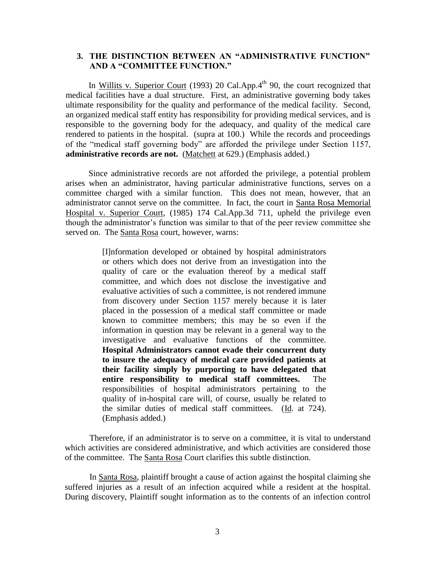## **3. THE DISTINCTION BETWEEN AN "ADMINISTRATIVE FUNCTION" AND A "COMMITTEE FUNCTION."**

In Willits v. Superior Court (1993) 20 Cal.App. $4<sup>th</sup>$  90, the court recognized that medical facilities have a dual structure. First, an administrative governing body takes ultimate responsibility for the quality and performance of the medical facility. Second, an organized medical staff entity has responsibility for providing medical services, and is responsible to the governing body for the adequacy, and quality of the medical care rendered to patients in the hospital. (supra at 100.) While the records and proceedings of the "medical staff governing body" are afforded the privilege under Section 1157, **administrative records are not.** (Matchett at 629.) (Emphasis added.)

Since administrative records are not afforded the privilege, a potential problem arises when an administrator, having particular administrative functions, serves on a committee charged with a similar function. This does not mean, however, that an administrator cannot serve on the committee. In fact, the court in Santa Rosa Memorial Hospital v. Superior Court, (1985) 174 Cal.App.3d 711, upheld the privilege even though the administrator's function was similar to that of the peer review committee she served on. The Santa Rosa court, however, warns:

> [I]nformation developed or obtained by hospital administrators or others which does not derive from an investigation into the quality of care or the evaluation thereof by a medical staff committee, and which does not disclose the investigative and evaluative activities of such a committee, is not rendered immune from discovery under Section 1157 merely because it is later placed in the possession of a medical staff committee or made known to committee members; this may be so even if the information in question may be relevant in a general way to the investigative and evaluative functions of the committee. **Hospital Administrators cannot evade their concurrent duty to insure the adequacy of medical care provided patients at their facility simply by purporting to have delegated that entire responsibility to medical staff committees.** The responsibilities of hospital administrators pertaining to the quality of in-hospital care will, of course, usually be related to the similar duties of medical staff committees. (Id. at 724). (Emphasis added.)

Therefore, if an administrator is to serve on a committee, it is vital to understand which activities are considered administrative, and which activities are considered those of the committee. The Santa Rosa Court clarifies this subtle distinction.

In Santa Rosa, plaintiff brought a cause of action against the hospital claiming she suffered injuries as a result of an infection acquired while a resident at the hospital. During discovery, Plaintiff sought information as to the contents of an infection control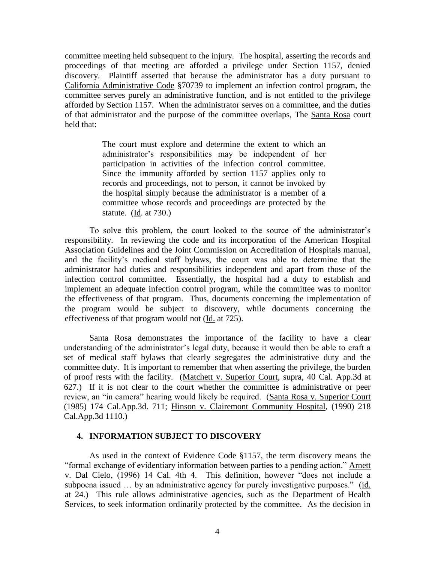committee meeting held subsequent to the injury. The hospital, asserting the records and proceedings of that meeting are afforded a privilege under Section 1157, denied discovery. Plaintiff asserted that because the administrator has a duty pursuant to California Administrative Code §70739 to implement an infection control program, the committee serves purely an administrative function, and is not entitled to the privilege afforded by Section 1157. When the administrator serves on a committee, and the duties of that administrator and the purpose of the committee overlaps, The Santa Rosa court held that:

> The court must explore and determine the extent to which an administrator's responsibilities may be independent of her participation in activities of the infection control committee. Since the immunity afforded by section 1157 applies only to records and proceedings, not to person, it cannot be invoked by the hospital simply because the administrator is a member of a committee whose records and proceedings are protected by the statute. (Id. at 730.)

To solve this problem, the court looked to the source of the administrator's responsibility. In reviewing the code and its incorporation of the American Hospital Association Guidelines and the Joint Commission on Accreditation of Hospitals manual, and the facility's medical staff bylaws, the court was able to determine that the administrator had duties and responsibilities independent and apart from those of the infection control committee. Essentially, the hospital had a duty to establish and implement an adequate infection control program, while the committee was to monitor the effectiveness of that program. Thus, documents concerning the implementation of the program would be subject to discovery, while documents concerning the effectiveness of that program would not (Id. at 725).

Santa Rosa demonstrates the importance of the facility to have a clear understanding of the administrator's legal duty, because it would then be able to craft a set of medical staff bylaws that clearly segregates the administrative duty and the committee duty. It is important to remember that when asserting the privilege, the burden of proof rests with the facility. (Matchett v. Superior Court, supra, 40 Cal. App.3d at 627.) If it is not clear to the court whether the committee is administrative or peer review, an "in camera" hearing would likely be required. (Santa Rosa v. Superior Court (1985) 174 Cal.App.3d. 711; Hinson v. Clairemont Community Hospital, (1990) 218 Cal.App.3d 1110.)

#### **4. INFORMATION SUBJECT TO DISCOVERY**

As used in the context of Evidence Code §1157, the term discovery means the "formal exchange of evidentiary information between parties to a pending action." Arnett v. Dal Cielo, (1996) 14 Cal. 4th 4. This definition, however "does not include a subpoena issued … by an administrative agency for purely investigative purposes." (id. at 24.) This rule allows administrative agencies, such as the Department of Health Services, to seek information ordinarily protected by the committee. As the decision in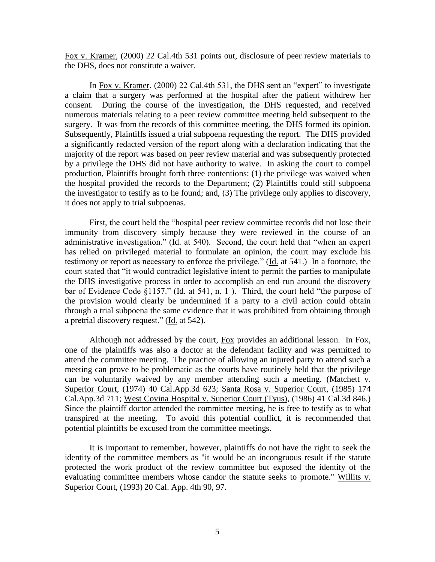Fox v. Kramer, (2000) 22 Cal.4th 531 points out, disclosure of peer review materials to the DHS, does not constitute a waiver.

In Fox v. Kramer, (2000) 22 Cal.4th 531, the DHS sent an "expert" to investigate a claim that a surgery was performed at the hospital after the patient withdrew her consent. During the course of the investigation, the DHS requested, and received numerous materials relating to a peer review committee meeting held subsequent to the surgery. It was from the records of this committee meeting, the DHS formed its opinion. Subsequently, Plaintiffs issued a trial subpoena requesting the report. The DHS provided a significantly redacted version of the report along with a declaration indicating that the majority of the report was based on peer review material and was subsequently protected by a privilege the DHS did not have authority to waive. In asking the court to compel production, Plaintiffs brought forth three contentions: (1) the privilege was waived when the hospital provided the records to the Department; (2) Plaintiffs could still subpoena the investigator to testify as to he found; and, (3) The privilege only applies to discovery, it does not apply to trial subpoenas.

First, the court held the "hospital peer review committee records did not lose their immunity from discovery simply because they were reviewed in the course of an administrative investigation." (Id. at 540). Second, the court held that "when an expert has relied on privileged material to formulate an opinion, the court may exclude his testimony or report as necessary to enforce the privilege." (Id. at 541.) In a footnote, the court stated that "it would contradict legislative intent to permit the parties to manipulate the DHS investigative process in order to accomplish an end run around the discovery bar of Evidence Code §1157." (Id. at 541, n. 1). Third, the court held "the purpose of the provision would clearly be undermined if a party to a civil action could obtain through a trial subpoena the same evidence that it was prohibited from obtaining through a pretrial discovery request." (Id. at 542).

Although not addressed by the court, Fox provides an additional lesson. In Fox, one of the plaintiffs was also a doctor at the defendant facility and was permitted to attend the committee meeting. The practice of allowing an injured party to attend such a meeting can prove to be problematic as the courts have routinely held that the privilege can be voluntarily waived by any member attending such a meeting. (Matchett v. Superior Court, (1974) 40 Cal.App.3d 623; Santa Rosa v. Superior Court, (1985) 174 Cal.App.3d 711; West Covina Hospital v. Superior Court (Tyus), (1986) 41 Cal.3d 846.) Since the plaintiff doctor attended the committee meeting, he is free to testify as to what transpired at the meeting. To avoid this potential conflict, it is recommended that potential plaintiffs be excused from the committee meetings.

It is important to remember, however, plaintiffs do not have the right to seek the identity of the committee members as "it would be an incongruous result if the statute protected the work product of the review committee but exposed the identity of the evaluating committee members whose candor the statute seeks to promote." Willits v. Superior Court, (1993) 20 Cal. App. 4th 90, 97.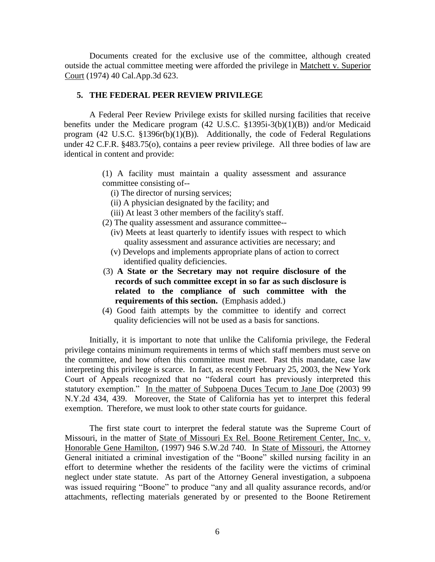Documents created for the exclusive use of the committee, although created outside the actual committee meeting were afforded the privilege in Matchett v. Superior Court (1974) 40 Cal.App.3d 623.

## **5. THE FEDERAL PEER REVIEW PRIVILEGE**

A Federal Peer Review Privilege exists for skilled nursing facilities that receive benefits under the Medicare program (42 U.S.C. §1395i-3(b)(1)(B)) and/or Medicaid program  $(42 \text{ U.S.C. } §1396r(b)(1)(B))$ . Additionally, the code of Federal Regulations under 42 C.F.R. §483.75(o), contains a peer review privilege. All three bodies of law are identical in content and provide:

- (1) A facility must maintain a quality assessment and assurance committee consisting of--
	- (i) The director of nursing services;
	- (ii) A physician designated by the facility; and
	- (iii) At least 3 other members of the facility's staff.
- (2) The quality assessment and assurance committee--
	- (iv) Meets at least quarterly to identify issues with respect to which quality assessment and assurance activities are necessary; and
	- (v) Develops and implements appropriate plans of action to correct identified quality deficiencies.
- (3) **A State or the Secretary may not require disclosure of the records of such committee except in so far as such disclosure is related to the compliance of such committee with the requirements of this section.** (Emphasis added.)
- (4) Good faith attempts by the committee to identify and correct quality deficiencies will not be used as a basis for sanctions.

Initially, it is important to note that unlike the California privilege, the Federal privilege contains minimum requirements in terms of which staff members must serve on the committee, and how often this committee must meet. Past this mandate, case law interpreting this privilege is scarce. In fact, as recently February 25, 2003, the New York Court of Appeals recognized that no "federal court has previously interpreted this statutory exemption." In the matter of Subpoena Duces Tecum to Jane Doe (2003) 99 N.Y.2d 434, 439. Moreover, the State of California has yet to interpret this federal exemption. Therefore, we must look to other state courts for guidance.

The first state court to interpret the federal statute was the Supreme Court of Missouri, in the matter of State of Missouri Ex Rel. Boone Retirement Center, Inc. v. Honorable Gene Hamilton, (1997) 946 S.W.2d 740. In State of Missouri, the Attorney General initiated a criminal investigation of the "Boone" skilled nursing facility in an effort to determine whether the residents of the facility were the victims of criminal neglect under state statute. As part of the Attorney General investigation, a subpoena was issued requiring "Boone" to produce "any and all quality assurance records, and/or attachments, reflecting materials generated by or presented to the Boone Retirement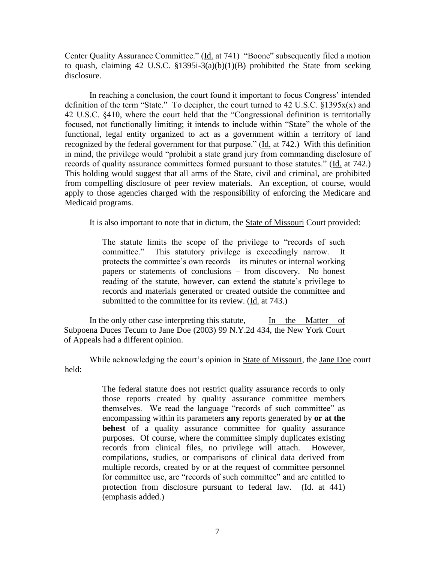Center Quality Assurance Committee." (Id. at 741) "Boone" subsequently filed a motion to quash, claiming 42 U.S.C. §1395i-3(a)(b)(1)(B) prohibited the State from seeking disclosure.

In reaching a conclusion, the court found it important to focus Congress' intended definition of the term "State." To decipher, the court turned to 42 U.S.C. §1395x(x) and 42 U.S.C. §410, where the court held that the "Congressional definition is territorially focused, not functionally limiting; it intends to include within "State" the whole of the functional, legal entity organized to act as a government within a territory of land recognized by the federal government for that purpose." (Id. at 742.) With this definition in mind, the privilege would "prohibit a state grand jury from commanding disclosure of records of quality assurance committees formed pursuant to those statutes." (Id. at 742.) This holding would suggest that all arms of the State, civil and criminal, are prohibited from compelling disclosure of peer review materials. An exception, of course, would apply to those agencies charged with the responsibility of enforcing the Medicare and Medicaid programs.

It is also important to note that in dictum, the State of Missouri Court provided:

The statute limits the scope of the privilege to "records of such committee." This statutory privilege is exceedingly narrow. It protects the committee's own records – its minutes or internal working papers or statements of conclusions – from discovery. No honest reading of the statute, however, can extend the statute's privilege to records and materials generated or created outside the committee and submitted to the committee for its review. (Id. at 743.)

In the only other case interpreting this statute, In the Matter of Subpoena Duces Tecum to Jane Doe (2003) 99 N.Y.2d 434, the New York Court of Appeals had a different opinion.

While acknowledging the court's opinion in State of Missouri, the Jane Doe court held:

> The federal statute does not restrict quality assurance records to only those reports created by quality assurance committee members themselves. We read the language "records of such committee" as encompassing within its parameters **any** reports generated by **or at the behest** of a quality assurance committee for quality assurance purposes. Of course, where the committee simply duplicates existing records from clinical files, no privilege will attach. However, compilations, studies, or comparisons of clinical data derived from multiple records, created by or at the request of committee personnel for committee use, are "records of such committee" and are entitled to protection from disclosure pursuant to federal law. (Id. at 441) (emphasis added.)